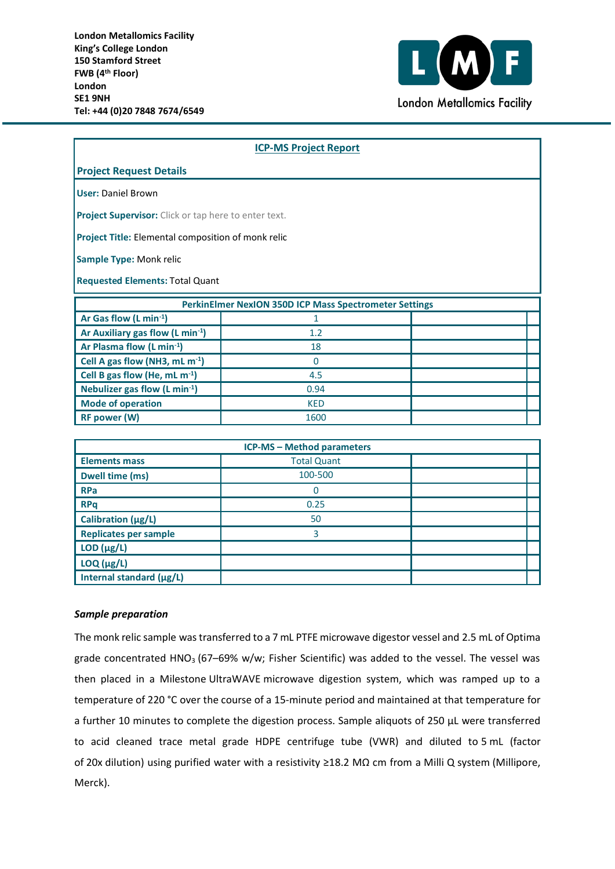

| <b>ICP-MS Project Report</b>                                  |             |  |  |  |
|---------------------------------------------------------------|-------------|--|--|--|
| <b>Project Request Details</b>                                |             |  |  |  |
| <b>User: Daniel Brown</b>                                     |             |  |  |  |
| Project Supervisor: Click or tap here to enter text.          |             |  |  |  |
| Project Title: Elemental composition of monk relic            |             |  |  |  |
| Sample Type: Monk relic                                       |             |  |  |  |
| <b>Requested Elements: Total Quant</b>                        |             |  |  |  |
| <b>PerkinElmer NexION 350D ICP Mass Spectrometer Settings</b> |             |  |  |  |
| Ar Gas flow (L min <sup>-1</sup> )                            | 1           |  |  |  |
| Ar Auxiliary gas flow (L min-1)                               | 1.2         |  |  |  |
| Ar Plasma flow (L min-1)                                      | 18          |  |  |  |
| Cell A gas flow (NH3, mL m <sup>-1</sup> )                    | $\mathbf 0$ |  |  |  |
| Cell B gas flow (He, mL m <sup>-1</sup> )                     | 4.5         |  |  |  |
| Nebulizer gas flow (L min-1)                                  | 0.94        |  |  |  |
| <b>Mode of operation</b>                                      | <b>KED</b>  |  |  |  |
| <b>RF power (W)</b>                                           | 1600        |  |  |  |
|                                                               |             |  |  |  |

| <b>ICP-MS - Method parameters</b> |                    |  |
|-----------------------------------|--------------------|--|
| <b>Elements mass</b>              | <b>Total Quant</b> |  |
| <b>Dwell time (ms)</b>            | 100-500            |  |
| <b>RPa</b>                        |                    |  |
| <b>RPq</b>                        | 0.25               |  |
| Calibration (µg/L)                | 50                 |  |
| <b>Replicates per sample</b>      | 3                  |  |
| $LOD$ ( $\mu$ g/L)                |                    |  |
| $LOQ$ ( $\mu$ g/L)                |                    |  |
| Internal standard (µg/L)          |                    |  |

## *Sample preparation*

The monk relic sample was transferred to a 7 mL PTFE microwave digestor vessel and 2.5 mL of Optima grade concentrated HNO<sub>3</sub> (67–69% w/w; Fisher Scientific) was added to the vessel. The vessel was then placed in a Milestone UltraWAVE microwave digestion system, which was ramped up to a temperature of 220 °C over the course of a 15-minute period and maintained at that temperature for a further 10 minutes to complete the digestion process. Sample aliquots of 250 µL were transferred to acid cleaned trace metal grade HDPE centrifuge tube (VWR) and diluted to 5 mL (factor of 20x dilution) using purified water with a resistivity ≥18.2 MΩ cm from a Milli Q system (Millipore, Merck).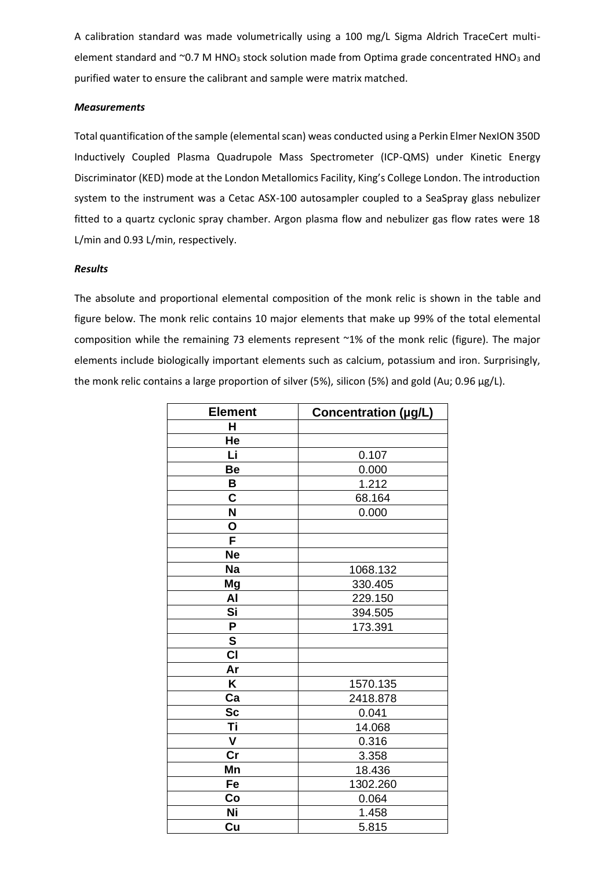A calibration standard was made volumetrically using a 100 mg/L Sigma Aldrich TraceCert multielement standard and  $^{\circ}$ 0.7 M HNO<sub>3</sub> stock solution made from Optima grade concentrated HNO<sub>3</sub> and purified water to ensure the calibrant and sample were matrix matched.

## *Measurements*

Total quantification of the sample (elemental scan) weas conducted using a Perkin Elmer NexION 350D Inductively Coupled Plasma Quadrupole Mass Spectrometer (ICP-QMS) under Kinetic Energy Discriminator (KED) mode at the London Metallomics Facility, King's College London. The introduction system to the instrument was a Cetac ASX-100 autosampler coupled to a SeaSpray glass nebulizer fitted to a quartz cyclonic spray chamber. Argon plasma flow and nebulizer gas flow rates were 18 L/min and 0.93 L/min, respectively.

## *Results*

The absolute and proportional elemental composition of the monk relic is shown in the table and figure below. The monk relic contains 10 major elements that make up 99% of the total elemental composition while the remaining 73 elements represent ~1% of the monk relic (figure). The major elements include biologically important elements such as calcium, potassium and iron. Surprisingly, the monk relic contains a large proportion of silver (5%), silicon (5%) and gold (Au; 0.96  $\mu$ g/L).

| <b>Element</b>          | Concentration (µg/L) |
|-------------------------|----------------------|
| H                       |                      |
| He                      |                      |
| Li                      | 0.107                |
| Be                      | 0.000                |
| B                       | 1.212                |
| $\overline{\mathbf{c}}$ | 68.164               |
| N                       | 0.000                |
| O                       |                      |
| $\overline{\mathsf{F}}$ |                      |
| <b>Ne</b>               |                      |
| <b>Na</b>               | 1068.132             |
| Mg                      | 330.405              |
| AI                      | 229.150              |
| Si                      | 394.505              |
| P                       | 173.391              |
| $\overline{\mathbf{s}}$ |                      |
| CI                      |                      |
| Ar                      |                      |
| Κ                       | 1570.135             |
| Ca                      | 2418.878             |
| <b>Sc</b>               | 0.041                |
| Τi                      | 14.068               |
| $\mathsf{V}$            | 0.316                |
| cr                      | 3.358                |
| Mn                      | 18.436               |
| Fe                      | 1302.260             |
| Co                      | 0.064                |
| Ni                      | 1.458                |
| Cu                      | 5.815                |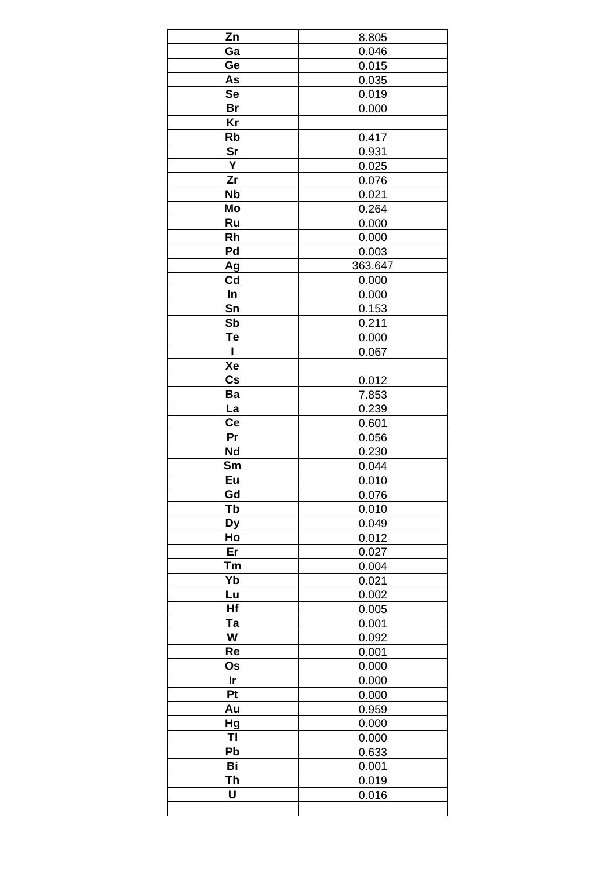| Zn            | 8.805   |
|---------------|---------|
| Ga            | 0.046   |
| Ge            | 0.015   |
| As            | 0.035   |
| <b>Se</b>     | 0.019   |
| <b>Br</b>     | 0.000   |
| Kr            |         |
|               |         |
| Rb            | 0.417   |
| <b>Sr</b>     | 0.931   |
| Ý             | 0.025   |
| Zr            | 0.076   |
| <b>Nb</b>     | 0.021   |
| Mo            | 0.264   |
| Ru            | 0.000   |
| Rh            | 0.000   |
| Pd            | 0.003   |
| Ag            | 363.647 |
| Cd            | 0.000   |
| In            | 0.000   |
| Sn            | 0.153   |
| Sb            | 0.211   |
|               |         |
| Te            | 0.000   |
| ı             | 0.067   |
| Xe            |         |
| $\mathsf{Cs}$ | 0.012   |
| Ba            | 7.853   |
| La            | 0.239   |
| Ce            | 0.601   |
| Pr            | 0.056   |
| <b>Nd</b>     | 0.230   |
| Sm            | 0.044   |
| Eu            | 0.010   |
| Gd            | 0.076   |
| Tb            | 0.010   |
| <b>Dy</b>     | 0.049   |
| Ho            |         |
| Er            | 0.012   |
|               | 0.027   |
| Tm            | 0.004   |
| Yb            | 0.021   |
| Lu            | 0.002   |
| Hf            | 0.005   |
| Ta            | 0.001   |
| W             | 0.092   |
| Re            | 0.001   |
| Os            | 0.000   |
| Ir            | 0.000   |
| Pt            | 0.000   |
| Au            | 0.959   |
| Hg            | 0.000   |
| ΤI            | 0.000   |
| Pb            | 0.633   |
|               |         |
| Bi            | 0.001   |
| Th            | 0.019   |
| U             | 0.016   |
|               |         |